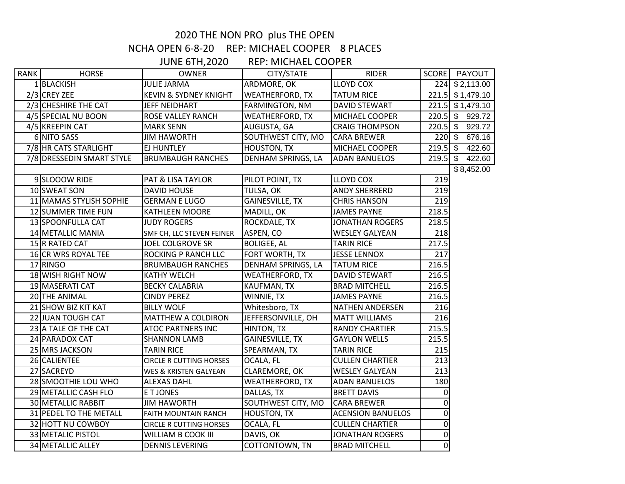## NCHA OPEN 6-8-20 REP: MICHAEL COOPER 8 PLACES 2020 THE NON PRO plus THE OPEN

JUNE 6TH,2020 REP: MICHAEL COOPER

| <b>RANK</b> | <b>HORSE</b>              | <b>OWNER</b>                     | CITY/STATE             | <b>RIDER</b>             |                | SCORE PAYOUT                 |
|-------------|---------------------------|----------------------------------|------------------------|--------------------------|----------------|------------------------------|
|             | 1BLACKISH                 | <b>JULIE JARMA</b>               | ARDMORE, OK            | <b>LLOYD COX</b>         |                | 224 \$2,113.00               |
|             | 2/3 CREY ZEE              | <b>KEVIN &amp; SYDNEY KNIGHT</b> | <b>WEATHERFORD, TX</b> | <b>TATUM RICE</b>        |                | 221.5 \$1,479.10             |
|             | 2/3 CHESHIRE THE CAT      | JEFF NEIDHART                    | FARMINGTON, NM         | <b>DAVID STEWART</b>     |                | $221.5$ \$1,479.10           |
|             | 4/5 SPECIAL NU BOON       | ROSE VALLEY RANCH                | WEATHERFORD, TX        | MICHAEL COOPER           |                | $\overline{220.5}$ \$ 929.72 |
|             | 4/5 KREEPIN CAT           | <b>MARK SENN</b>                 | AUGUSTA, GA            | <b>CRAIG THOMPSON</b>    |                | $220.5$ \$ 929.72            |
|             | 6 NITO SASS               | <b>JIM HAWORTH</b>               | SOUTHWEST CITY, MO     | <b>CARA BREWER</b>       | $220$ \$       | 676.16                       |
|             | 7/8 HR CATS STARLIGHT     | <b>EJ HUNTLEY</b>                | <b>HOUSTON, TX</b>     | MICHAEL COOPER           |                | $219.5$ \$ 422.60            |
|             | 7/8 DRESSEDIN SMART STYLE | <b>BRUMBAUGH RANCHES</b>         | DENHAM SPRINGS, LA     | <b>ADAN BANUELOS</b>     |                | $219.5$ \$ 422.60            |
|             |                           |                                  |                        |                          |                |                              |
|             | 9 SLOOOW RIDE             | PAT & LISA TAYLOR                | PILOT POINT, TX        | LLOYD COX                | 219            |                              |
|             | 10 SWEAT SON              | <b>DAVID HOUSE</b>               | TULSA, OK              | <b>ANDY SHERRERD</b>     | 219            |                              |
|             | 11 MAMAS STYLISH SOPHIE   | <b>GERMAN E LUGO</b>             | <b>GAINESVILLE, TX</b> | <b>CHRIS HANSON</b>      | 219            |                              |
|             | 12 SUMMER TIME FUN        | <b>KATHLEEN MOORE</b>            | MADILL, OK             | <b>JAMES PAYNE</b>       | 218.5          |                              |
|             | 13 SPOONFULLA CAT         | <b>JUDY ROGERS</b>               | ROCKDALE, TX           | <b>JONATHAN ROGERS</b>   | 218.5          |                              |
|             | 14 METALLIC MANIA         | SMF CH, LLC STEVEN FEINER        | ASPEN, CO              | <b>WESLEY GALYEAN</b>    | 218            |                              |
|             | 15 R RATED CAT            | <b>JOEL COLGROVE SR</b>          | <b>BOLIGEE, AL</b>     | <b>TARIN RICE</b>        | 217.5          |                              |
|             | 16 CR WRS ROYAL TEE       | ROCKING P RANCH LLC              | FORT WORTH, TX         | <b>JESSE LENNOX</b>      | 217            |                              |
|             | 17 RINGO                  | <b>BRUMBAUGH RANCHES</b>         | DENHAM SPRINGS, LA     | <b>TATUM RICE</b>        | 216.5          |                              |
|             | 18 WISH RIGHT NOW         | <b>KATHY WELCH</b>               | WEATHERFORD, TX        | <b>DAVID STEWART</b>     | 216.5          |                              |
|             | 19 MASERATI CAT           | <b>BECKY CALABRIA</b>            | KAUFMAN, TX            | <b>BRAD MITCHELL</b>     | 216.5          |                              |
|             | 20 THE ANIMAL             | <b>CINDY PEREZ</b>               | WINNIE, TX             | <b>JAMES PAYNE</b>       | 216.5          |                              |
|             | 21 SHOW BIZ KIT KAT       | <b>BILLY WOLF</b>                | Whitesboro, TX         | <b>NATHEN ANDERSEN</b>   | 216            |                              |
|             | 22 JUAN TOUGH CAT         | <b>MATTHEW A COLDIRON</b>        | JEFFERSONVILLE, OH     | <b>MATT WILLIAMS</b>     | 216            |                              |
|             | 23 A TALE OF THE CAT      | <b>ATOC PARTNERS INC</b>         | HINTON, TX             | <b>RANDY CHARTIER</b>    | 215.5          |                              |
|             | 24 PARADOX CAT            | <b>SHANNON LAMB</b>              | <b>GAINESVILLE, TX</b> | <b>GAYLON WELLS</b>      | 215.5          |                              |
|             | 25 MRS JACKSON            | <b>TARIN RICE</b>                | SPEARMAN, TX           | <b>TARIN RICE</b>        | 215            |                              |
|             | 26 CALIENTEE              | <b>CIRCLE R CUTTING HORSES</b>   | OCALA, FL              | <b>CULLEN CHARTIER</b>   | 213            |                              |
|             | 27 SACREYD                | WES & KRISTEN GALYEAN            | CLAREMORE, OK          | <b>WESLEY GALYEAN</b>    | 213            |                              |
|             | 28 SMOOTHIE LOU WHO       | <b>ALEXAS DAHL</b>               | WEATHERFORD, TX        | <b>ADAN BANUELOS</b>     | 180            |                              |
|             | 29 METALLIC CASH FLO      | E T JONES                        | DALLAS, TX             | <b>BRETT DAVIS</b>       | 0              |                              |
|             | 30 METALLIC RABBIT        | <b>JIM HAWORTH</b>               | SOUTHWEST CITY, MO     | <b>CARA BREWER</b>       | 0              |                              |
|             | 31 PEDEL TO THE METALL    | <b>FAITH MOUNTAIN RANCH</b>      | HOUSTON, TX            | <b>ACENSION BANUELOS</b> | $\overline{0}$ |                              |
|             | 32 HOTT NU COWBOY         | <b>CIRCLE R CUTTING HORSES</b>   | OCALA, FL              | <b>CULLEN CHARTIER</b>   | 0              |                              |
|             | 33 METALIC PISTOL         | WILLIAM B COOK III               | DAVIS, OK              | <b>JONATHAN ROGERS</b>   | 0              |                              |
|             | 34 METALLIC ALLEY         | <b>DENNIS LEVERING</b>           | COTTONTOWN, TN         | <b>BRAD MITCHELL</b>     | $\overline{0}$ |                              |